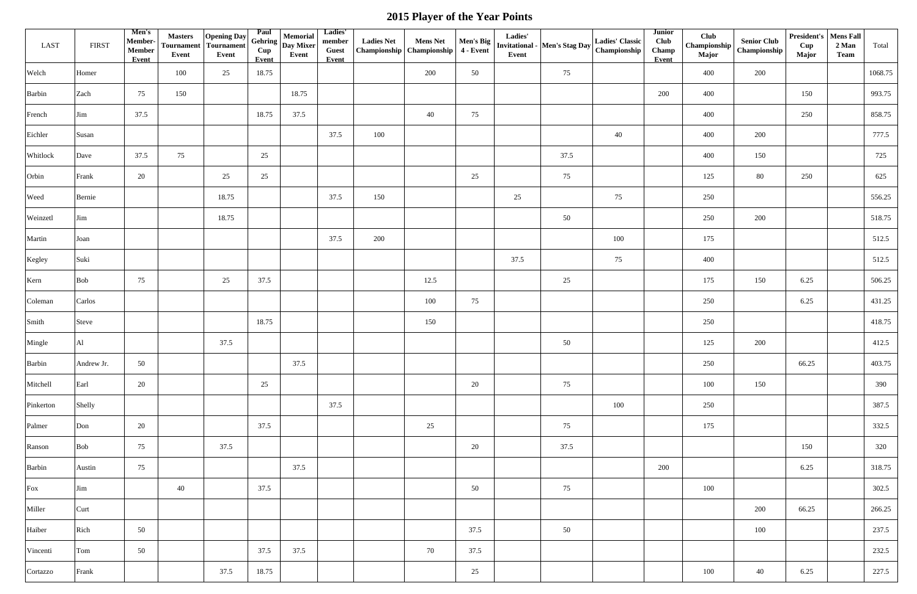| <b>LAST</b> | <b>FIRST</b> | Men's<br>Member-<br><b>Member</b><br>Event | <b>Masters</b><br><b>Tournament</b><br>Event | Opening Day<br>Tournament<br>Event | Paul<br>Cup<br>Event | Memorial<br>$\frac{1}{2}$ Gehring $\left  \frac{1}{2} \right $ Day Mixer<br>Event | Ladies'<br>member<br><b>Guest</b><br>Event | <b>Ladies Net</b> | <b>Mens Net</b><br>Championship Championship | Men's Big<br>4 - Event | Ladies'<br>Event | Invitational - Men's Stag Day | <b>Ladies' Classic</b><br>Championship | <b>Junior</b><br><b>Club</b><br>Champ<br>Event | Club<br>Major | <b>Senior Club</b><br>$\mid$ Championship $\mid$ Championship | <b>President's</b> Mens Fall<br>2 Man<br>Cup<br>Major<br><b>Team</b> | Total   |
|-------------|--------------|--------------------------------------------|----------------------------------------------|------------------------------------|----------------------|-----------------------------------------------------------------------------------|--------------------------------------------|-------------------|----------------------------------------------|------------------------|------------------|-------------------------------|----------------------------------------|------------------------------------------------|---------------|---------------------------------------------------------------|----------------------------------------------------------------------|---------|
| Welch       | Homer        |                                            | 100                                          | 25                                 | 18.75                |                                                                                   |                                            |                   | 200                                          | 50                     |                  | 75                            |                                        |                                                | 400           | 200                                                           |                                                                      | 1068.75 |
| Barbin      | Zach         | 75                                         | 150                                          |                                    |                      | 18.75                                                                             |                                            |                   |                                              |                        |                  |                               |                                        | 200                                            | 400           |                                                               | 150                                                                  | 993.75  |
| French      | Jim          | 37.5                                       |                                              |                                    | 18.75                | 37.5                                                                              |                                            |                   | 40                                           | 75                     |                  |                               |                                        |                                                | 400           |                                                               | 250                                                                  | 858.75  |
| Eichler     | Susan        |                                            |                                              |                                    |                      |                                                                                   | 37.5                                       | 100               |                                              |                        |                  |                               | 40                                     |                                                | 400           | 200                                                           |                                                                      | 777.5   |
| Whitlock    | Dave         | 37.5                                       | 75                                           |                                    | 25                   |                                                                                   |                                            |                   |                                              |                        |                  | 37.5                          |                                        |                                                | 400           | 150                                                           |                                                                      | 725     |
| Orbin       | Frank        | 20                                         |                                              | 25                                 | 25                   |                                                                                   |                                            |                   |                                              | 25                     |                  | 75                            |                                        |                                                | 125           | 80                                                            | 250                                                                  | 625     |
| Weed        | Bernie       |                                            |                                              | 18.75                              |                      |                                                                                   | 37.5                                       | 150               |                                              |                        | 25               |                               | 75                                     |                                                | 250           |                                                               |                                                                      | 556.25  |
| Weinzetl    | Jim          |                                            |                                              | 18.75                              |                      |                                                                                   |                                            |                   |                                              |                        |                  | 50                            |                                        |                                                | 250           | 200                                                           |                                                                      | 518.75  |
| Martin      | Joan         |                                            |                                              |                                    |                      |                                                                                   | 37.5                                       | 200               |                                              |                        |                  |                               | 100                                    |                                                | 175           |                                                               |                                                                      | 512.5   |
| Kegley      | Suki         |                                            |                                              |                                    |                      |                                                                                   |                                            |                   |                                              |                        | 37.5             |                               | 75                                     |                                                | 400           |                                                               |                                                                      | 512.5   |
| Kern        | Bob          | 75                                         |                                              | 25                                 | 37.5                 |                                                                                   |                                            |                   | 12.5                                         |                        |                  | 25                            |                                        |                                                | 175           | 150                                                           | 6.25                                                                 | 506.25  |
| Coleman     | Carlos       |                                            |                                              |                                    |                      |                                                                                   |                                            |                   | 100                                          | 75                     |                  |                               |                                        |                                                | 250           |                                                               | 6.25                                                                 | 431.25  |
| Smith       | Steve        |                                            |                                              |                                    | 18.75                |                                                                                   |                                            |                   | 150                                          |                        |                  |                               |                                        |                                                | 250           |                                                               |                                                                      | 418.75  |
| Mingle      | Al           |                                            |                                              | 37.5                               |                      |                                                                                   |                                            |                   |                                              |                        |                  | 50                            |                                        |                                                | 125           | 200                                                           |                                                                      | 412.5   |
| Barbin      | Andrew Jr.   | 50                                         |                                              |                                    |                      | 37.5                                                                              |                                            |                   |                                              |                        |                  |                               |                                        |                                                | 250           |                                                               | 66.25                                                                | 403.75  |
| Mitchell    | Earl         | 20                                         |                                              |                                    | 25                   |                                                                                   |                                            |                   |                                              | 20                     |                  | 75                            |                                        |                                                | 100           | 150                                                           |                                                                      | 390     |
| Pinkerton   | Shelly       |                                            |                                              |                                    |                      |                                                                                   | 37.5                                       |                   |                                              |                        |                  |                               | 100                                    |                                                | 250           |                                                               |                                                                      | 387.5   |
| Palmer      | Don          | 20                                         |                                              |                                    | 37.5                 |                                                                                   |                                            |                   | 25                                           |                        |                  | 75                            |                                        |                                                | 175           |                                                               |                                                                      | 332.5   |
| Ranson      | Bob          | 75                                         |                                              | 37.5                               |                      |                                                                                   |                                            |                   |                                              | 20                     |                  | 37.5                          |                                        |                                                |               |                                                               | 150                                                                  | 320     |
| Barbin      | Austin       | 75                                         |                                              |                                    |                      | 37.5                                                                              |                                            |                   |                                              |                        |                  |                               |                                        | 200                                            |               |                                                               | 6.25                                                                 | 318.75  |
| Fox         | Jim          |                                            | 40                                           |                                    | 37.5                 |                                                                                   |                                            |                   |                                              | 50                     |                  | 75                            |                                        |                                                | 100           |                                                               |                                                                      | 302.5   |
| Miller      | Curt         |                                            |                                              |                                    |                      |                                                                                   |                                            |                   |                                              |                        |                  |                               |                                        |                                                |               | 200                                                           | 66.25                                                                | 266.25  |
| Haiber      | Rich         | 50                                         |                                              |                                    |                      |                                                                                   |                                            |                   |                                              | 37.5                   |                  | 50                            |                                        |                                                |               | 100                                                           |                                                                      | 237.5   |
| Vincenti    | Tom          | 50                                         |                                              |                                    | 37.5                 | 37.5                                                                              |                                            |                   | 70                                           | 37.5                   |                  |                               |                                        |                                                |               |                                                               |                                                                      | 232.5   |
| Cortazzo    | Frank        |                                            |                                              | 37.5                               | 18.75                |                                                                                   |                                            |                   |                                              | 25                     |                  |                               |                                        |                                                | 100           | 40                                                            | 6.25                                                                 | 227.5   |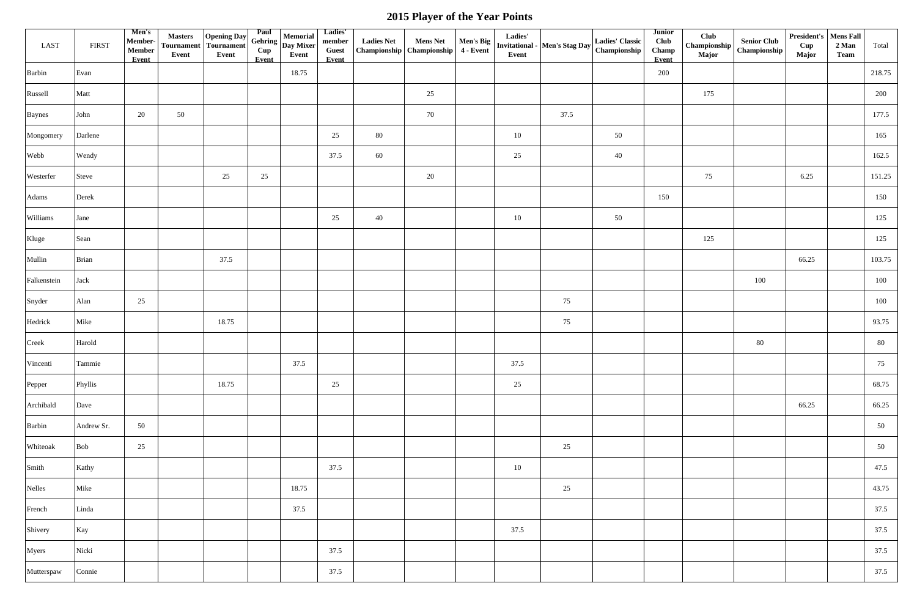| LAST        | <b>FIRST</b> | Men's<br>Member-<br>$\label{eq:em} \textbf{Member}$<br>Event | <b>Masters</b><br><b>Tournament</b><br>Event | Opening Day<br><b>Tournament</b><br>Event | Paul<br>Cup<br>Event | Memorial<br>$\frac{1}{2}$ Gehring $\left  \frac{1}{2} \right $ Day Mixer<br>Event | Ladies'<br>member<br><b>Guest</b><br>Event |    |    | Ladies'<br>Event | Ladies Net Mens Net Men's Big $\begin{bmatrix}$ Ladies<br>Championship Championship 4 - Event $\begin{bmatrix}$ Invitational - Men's Stag Day | <b>Ladies' Classic</b><br>Championship | <b>Junior</b><br><b>Club</b><br>Champ<br>Event | Club<br><b>Major</b> | <b>Senior Club</b><br>$\begin{array}{c c}\n\hline\n\end{array}$ Championship $\begin{array}{c c}\n\hline\n\end{array}$ | <b>President's   Mens Fall</b><br>2 Man<br>Cup<br><b>Major</b><br><b>Team</b> | Total  |
|-------------|--------------|--------------------------------------------------------------|----------------------------------------------|-------------------------------------------|----------------------|-----------------------------------------------------------------------------------|--------------------------------------------|----|----|------------------|-----------------------------------------------------------------------------------------------------------------------------------------------|----------------------------------------|------------------------------------------------|----------------------|------------------------------------------------------------------------------------------------------------------------|-------------------------------------------------------------------------------|--------|
| Barbin      | Evan         |                                                              |                                              |                                           |                      | 18.75                                                                             |                                            |    |    |                  |                                                                                                                                               |                                        | 200                                            |                      |                                                                                                                        |                                                                               | 218.75 |
| Russell     | Matt         |                                                              |                                              |                                           |                      |                                                                                   |                                            |    | 25 |                  |                                                                                                                                               |                                        |                                                | 175                  |                                                                                                                        |                                                                               | 200    |
| Baynes      | John         | 20                                                           | 50                                           |                                           |                      |                                                                                   |                                            |    | 70 |                  | 37.5                                                                                                                                          |                                        |                                                |                      |                                                                                                                        |                                                                               | 177.5  |
| Mongomery   | Darlene      |                                                              |                                              |                                           |                      |                                                                                   | 25                                         | 80 |    | 10               |                                                                                                                                               | 50                                     |                                                |                      |                                                                                                                        |                                                                               | 165    |
| Webb        | Wendy        |                                                              |                                              |                                           |                      |                                                                                   | 37.5                                       | 60 |    | 25               |                                                                                                                                               | 40                                     |                                                |                      |                                                                                                                        |                                                                               | 162.5  |
| Westerfer   | Steve        |                                                              |                                              | 25                                        | 25                   |                                                                                   |                                            |    | 20 |                  |                                                                                                                                               |                                        |                                                | 75                   |                                                                                                                        | 6.25                                                                          | 151.25 |
| Adams       | Derek        |                                                              |                                              |                                           |                      |                                                                                   |                                            |    |    |                  |                                                                                                                                               |                                        | 150                                            |                      |                                                                                                                        |                                                                               | 150    |
| Williams    | Jane         |                                                              |                                              |                                           |                      |                                                                                   | 25                                         | 40 |    | 10               |                                                                                                                                               | 50                                     |                                                |                      |                                                                                                                        |                                                                               | 125    |
| Kluge       | Sean         |                                                              |                                              |                                           |                      |                                                                                   |                                            |    |    |                  |                                                                                                                                               |                                        |                                                | 125                  |                                                                                                                        |                                                                               | 125    |
| Mullin      | Brian        |                                                              |                                              | 37.5                                      |                      |                                                                                   |                                            |    |    |                  |                                                                                                                                               |                                        |                                                |                      |                                                                                                                        | 66.25                                                                         | 103.75 |
| Falkenstein | Jack         |                                                              |                                              |                                           |                      |                                                                                   |                                            |    |    |                  |                                                                                                                                               |                                        |                                                |                      | 100                                                                                                                    |                                                                               | 100    |
| Snyder      | Alan         | 25                                                           |                                              |                                           |                      |                                                                                   |                                            |    |    |                  | 75                                                                                                                                            |                                        |                                                |                      |                                                                                                                        |                                                                               | 100    |
| Hedrick     | Mike         |                                                              |                                              | 18.75                                     |                      |                                                                                   |                                            |    |    |                  | 75                                                                                                                                            |                                        |                                                |                      |                                                                                                                        |                                                                               | 93.75  |
| Creek       | Harold       |                                                              |                                              |                                           |                      |                                                                                   |                                            |    |    |                  |                                                                                                                                               |                                        |                                                |                      | 80                                                                                                                     |                                                                               | 80     |
| Vincenti    | Tammie       |                                                              |                                              |                                           |                      | 37.5                                                                              |                                            |    |    | 37.5             |                                                                                                                                               |                                        |                                                |                      |                                                                                                                        |                                                                               | 75     |
| Pepper      | Phyllis      |                                                              |                                              | 18.75                                     |                      |                                                                                   | 25                                         |    |    | 25               |                                                                                                                                               |                                        |                                                |                      |                                                                                                                        |                                                                               | 68.75  |
| Archibald   | Dave         |                                                              |                                              |                                           |                      |                                                                                   |                                            |    |    |                  |                                                                                                                                               |                                        |                                                |                      |                                                                                                                        | 66.25                                                                         | 66.25  |
| Barbin      | Andrew Sr.   | 50                                                           |                                              |                                           |                      |                                                                                   |                                            |    |    |                  |                                                                                                                                               |                                        |                                                |                      |                                                                                                                        |                                                                               | 50     |
| Whiteoak    | <b>Bob</b>   | 25                                                           |                                              |                                           |                      |                                                                                   |                                            |    |    |                  | 25                                                                                                                                            |                                        |                                                |                      |                                                                                                                        |                                                                               | 50     |
| Smith       | Kathy        |                                                              |                                              |                                           |                      |                                                                                   | 37.5                                       |    |    | 10               |                                                                                                                                               |                                        |                                                |                      |                                                                                                                        |                                                                               | 47.5   |
| Nelles      | Mike         |                                                              |                                              |                                           |                      | 18.75                                                                             |                                            |    |    |                  | 25                                                                                                                                            |                                        |                                                |                      |                                                                                                                        |                                                                               | 43.75  |
| French      | Linda        |                                                              |                                              |                                           |                      | 37.5                                                                              |                                            |    |    |                  |                                                                                                                                               |                                        |                                                |                      |                                                                                                                        |                                                                               | 37.5   |
| Shivery     | Kay          |                                                              |                                              |                                           |                      |                                                                                   |                                            |    |    | 37.5             |                                                                                                                                               |                                        |                                                |                      |                                                                                                                        |                                                                               | 37.5   |
| Myers       | Nicki        |                                                              |                                              |                                           |                      |                                                                                   | 37.5                                       |    |    |                  |                                                                                                                                               |                                        |                                                |                      |                                                                                                                        |                                                                               | 37.5   |
| Mutterspaw  | Connie       |                                                              |                                              |                                           |                      |                                                                                   | 37.5                                       |    |    |                  |                                                                                                                                               |                                        |                                                |                      |                                                                                                                        |                                                                               | 37.5   |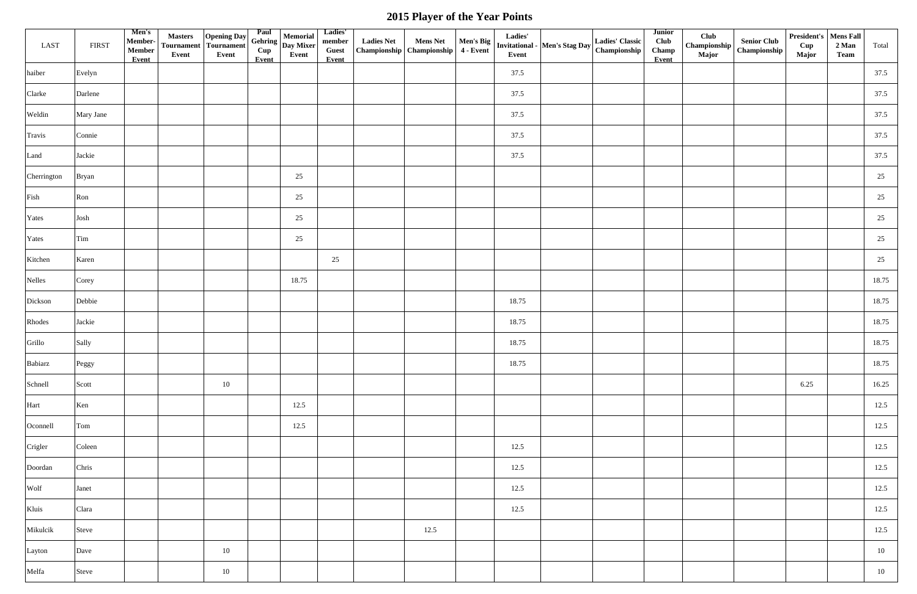| LAST        | <b>FIRST</b> | Men's<br>Member-<br>$\label{eq:em} \textbf{Member}$<br>Event | <b>Masters</b><br><b>Tournament</b><br>Event | <b>Opening Day</b><br>Tournament<br>Event | Paul<br>Cup<br>Event | Memorial<br>$\frac{1}{2}$ Gehring $\left  \frac{1}{2} \right $ Day Mixer<br>Event | Ladies'<br>member<br><b>Guest</b><br>Event | <b>Ladies Net</b> | <b>Mens Net</b><br>Championship   Championship   4 - Event | Ladies'<br>Event | $\left \begin{array}{c c} \textbf{Men's Big} & \textbf{Lquare} \\ \textbf{Invitational -} & \textbf{Men's Stage Day} \end{array}\right $ | <b>Ladies' Classic</b><br>Championship | <b>Junior</b><br><b>Club</b><br>Champ<br>Event | Club<br><b>Major</b> | <b>Senior Club</b><br>$\mid$ Championship $\mid$ Championship | President's   Mens Fall<br>Cup<br><b>Major</b> | 2 Man<br><b>Team</b> | Total |
|-------------|--------------|--------------------------------------------------------------|----------------------------------------------|-------------------------------------------|----------------------|-----------------------------------------------------------------------------------|--------------------------------------------|-------------------|------------------------------------------------------------|------------------|------------------------------------------------------------------------------------------------------------------------------------------|----------------------------------------|------------------------------------------------|----------------------|---------------------------------------------------------------|------------------------------------------------|----------------------|-------|
| haiber      | Evelyn       |                                                              |                                              |                                           |                      |                                                                                   |                                            |                   |                                                            | 37.5             |                                                                                                                                          |                                        |                                                |                      |                                                               |                                                |                      | 37.5  |
| Clarke      | Darlene      |                                                              |                                              |                                           |                      |                                                                                   |                                            |                   |                                                            | 37.5             |                                                                                                                                          |                                        |                                                |                      |                                                               |                                                |                      | 37.5  |
| Weldin      | Mary Jane    |                                                              |                                              |                                           |                      |                                                                                   |                                            |                   |                                                            | 37.5             |                                                                                                                                          |                                        |                                                |                      |                                                               |                                                |                      | 37.5  |
| Travis      | Connie       |                                                              |                                              |                                           |                      |                                                                                   |                                            |                   |                                                            | 37.5             |                                                                                                                                          |                                        |                                                |                      |                                                               |                                                |                      | 37.5  |
| Land        | Jackie       |                                                              |                                              |                                           |                      |                                                                                   |                                            |                   |                                                            | 37.5             |                                                                                                                                          |                                        |                                                |                      |                                                               |                                                |                      | 37.5  |
| Cherrington | <b>Bryan</b> |                                                              |                                              |                                           |                      | 25                                                                                |                                            |                   |                                                            |                  |                                                                                                                                          |                                        |                                                |                      |                                                               |                                                |                      | 25    |
| Fish        | Ron          |                                                              |                                              |                                           |                      | 25                                                                                |                                            |                   |                                                            |                  |                                                                                                                                          |                                        |                                                |                      |                                                               |                                                |                      | 25    |
| Yates       | Josh         |                                                              |                                              |                                           |                      | 25                                                                                |                                            |                   |                                                            |                  |                                                                                                                                          |                                        |                                                |                      |                                                               |                                                |                      | 25    |
| Yates       | Tim          |                                                              |                                              |                                           |                      | 25                                                                                |                                            |                   |                                                            |                  |                                                                                                                                          |                                        |                                                |                      |                                                               |                                                |                      | 25    |
| Kitchen     | Karen        |                                                              |                                              |                                           |                      |                                                                                   | 25                                         |                   |                                                            |                  |                                                                                                                                          |                                        |                                                |                      |                                                               |                                                |                      | 25    |
| Nelles      | Corey        |                                                              |                                              |                                           |                      | 18.75                                                                             |                                            |                   |                                                            |                  |                                                                                                                                          |                                        |                                                |                      |                                                               |                                                |                      | 18.75 |
| Dickson     | Debbie       |                                                              |                                              |                                           |                      |                                                                                   |                                            |                   |                                                            | 18.75            |                                                                                                                                          |                                        |                                                |                      |                                                               |                                                |                      | 18.75 |
| Rhodes      | Jackie       |                                                              |                                              |                                           |                      |                                                                                   |                                            |                   |                                                            | 18.75            |                                                                                                                                          |                                        |                                                |                      |                                                               |                                                |                      | 18.75 |
| Grillo      | Sally        |                                                              |                                              |                                           |                      |                                                                                   |                                            |                   |                                                            | 18.75            |                                                                                                                                          |                                        |                                                |                      |                                                               |                                                |                      | 18.75 |
| Babiarz     | Peggy        |                                                              |                                              |                                           |                      |                                                                                   |                                            |                   |                                                            | 18.75            |                                                                                                                                          |                                        |                                                |                      |                                                               |                                                |                      | 18.75 |
| Schnell     | Scott        |                                                              |                                              | 10                                        |                      |                                                                                   |                                            |                   |                                                            |                  |                                                                                                                                          |                                        |                                                |                      |                                                               | 6.25                                           |                      | 16.25 |
| Hart        | Ken          |                                                              |                                              |                                           |                      | 12.5                                                                              |                                            |                   |                                                            |                  |                                                                                                                                          |                                        |                                                |                      |                                                               |                                                |                      | 12.5  |
| Oconnell    | Tom          |                                                              |                                              |                                           |                      | 12.5                                                                              |                                            |                   |                                                            |                  |                                                                                                                                          |                                        |                                                |                      |                                                               |                                                |                      | 12.5  |
| Crigler     | Coleen       |                                                              |                                              |                                           |                      |                                                                                   |                                            |                   |                                                            | 12.5             |                                                                                                                                          |                                        |                                                |                      |                                                               |                                                |                      | 12.5  |
| Doordan     | Chris        |                                                              |                                              |                                           |                      |                                                                                   |                                            |                   |                                                            | 12.5             |                                                                                                                                          |                                        |                                                |                      |                                                               |                                                |                      | 12.5  |
| Wolf        | Janet        |                                                              |                                              |                                           |                      |                                                                                   |                                            |                   |                                                            | 12.5             |                                                                                                                                          |                                        |                                                |                      |                                                               |                                                |                      | 12.5  |
| Kluis       | Clara        |                                                              |                                              |                                           |                      |                                                                                   |                                            |                   |                                                            | 12.5             |                                                                                                                                          |                                        |                                                |                      |                                                               |                                                |                      | 12.5  |
| Mikulcik    | Steve        |                                                              |                                              |                                           |                      |                                                                                   |                                            |                   | 12.5                                                       |                  |                                                                                                                                          |                                        |                                                |                      |                                                               |                                                |                      | 12.5  |
| Layton      | Dave         |                                                              |                                              | 10                                        |                      |                                                                                   |                                            |                   |                                                            |                  |                                                                                                                                          |                                        |                                                |                      |                                                               |                                                |                      | 10    |
| Melfa       | Steve        |                                                              |                                              | 10                                        |                      |                                                                                   |                                            |                   |                                                            |                  |                                                                                                                                          |                                        |                                                |                      |                                                               |                                                |                      | 10    |